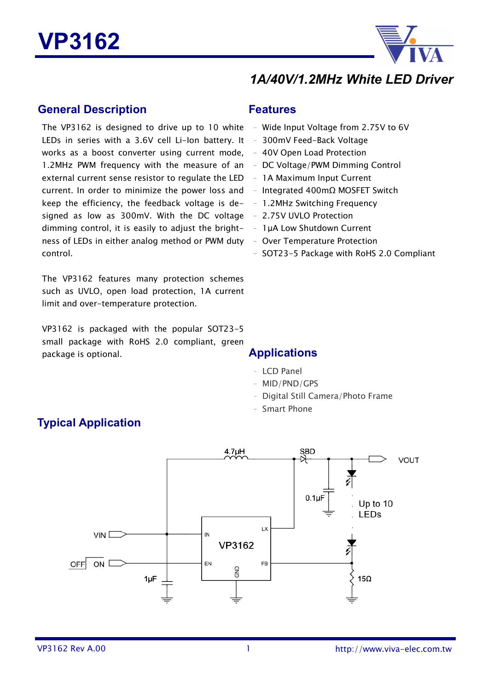

# *1A/40V/1.2MHz White LED Driver*

#### **General Description**

The VP3162 is designed to drive up to 10 white  $\,$  - Wide Input Voltage from 2.75V to 6V LEDs in series with a 3.6V cell Li-Ion battery. It - 300mV Feed-Back Voltage works as a boost converter using current mode, - 40V Open Load Protection 1.2MHz PWM frequency with the measure of an - DC Voltage/PWM Dimming Control external current sense resistor to regulate the LED  $-1A$  Maximum Input Current  $current.$  In order to minimize the power loss and  $-$  Integrated 400mΩ MOSFET Switch keep the efficiency, the feedback voltage is de- - 1.2MHz Switching Frequency signed as low as 300mV. With the DC voltage - 2.75V UVLO Protection dimming control, it is easily to adjust the bright-  $-1\mu A$  Low Shutdown Current ness of LEDs in either analog method or PWM duty control.

The VP3162 features many protection schemes such as UVLO, open load protection, 1A current limit and over-temperature protection.

VP3162 is packaged with the popular SOT23-5 small package with RoHS 2.0 compliant, green package is optional. **Applications**

#### **Features**

- 
- 
- 
- 
- 
- 
- 
- 
- 
- Over Temperature Protection
- SOT23-5 Package with RoHS 2.0 Compliant

- LCD Panel
- MID/PND/GPS
- Digital Still Camera/Photo Frame
- Smart Phone



### **Typical Application**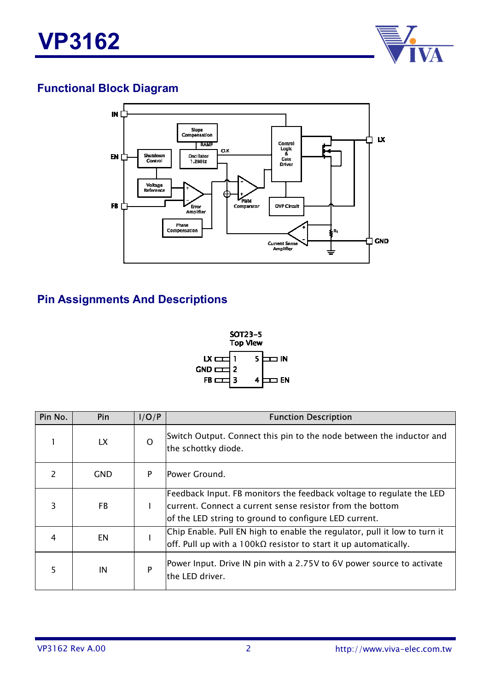

# **Functional Block Diagram**



### **Pin Assignments And Descriptions**



| Pin No. | Pin        | I/O/P        | <b>Function Description</b>                                                                                                                                                                |  |
|---------|------------|--------------|--------------------------------------------------------------------------------------------------------------------------------------------------------------------------------------------|--|
|         | LX.        | $\Omega$     | Switch Output. Connect this pin to the node between the inductor and<br>the schottky diode.                                                                                                |  |
| 2       | <b>GND</b> | P            | Power Ground.                                                                                                                                                                              |  |
| 3       | FB         | $\mathbf{I}$ | Feedback Input. FB monitors the feedback voltage to regulate the LED<br>current. Connect a current sense resistor from the bottom<br>of the LED string to ground to configure LED current. |  |
| 4       | EN         |              | Chip Enable. Pull EN high to enable the regulator, pull it low to turn it<br>$\vert$ off. Pull up with a 100k $\Omega$ resistor to start it up automatically.                              |  |
| 5       | IN         | P            | Power Input. Drive IN pin with a 2.75V to 6V power source to activate<br>the LED driver.                                                                                                   |  |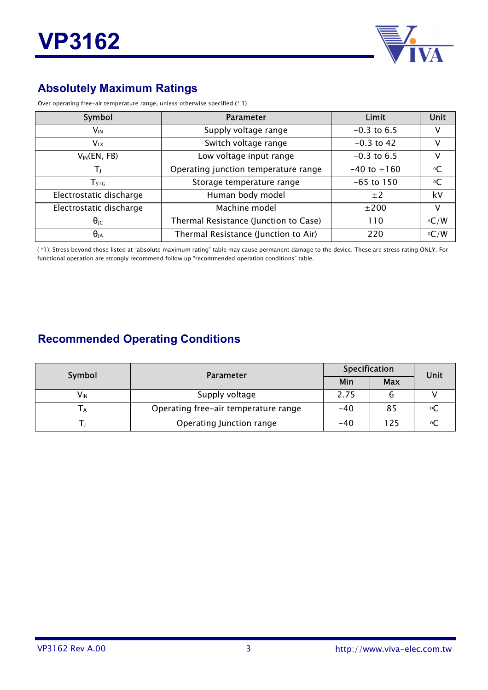

# **Absolutely Maximum Ratings**

| Over operating free-air temperature range, unless otherwise specified (* 1) |  |
|-----------------------------------------------------------------------------|--|
|-----------------------------------------------------------------------------|--|

| Symbol                  | <b>Parameter</b>                      | Limit           | Unit              |
|-------------------------|---------------------------------------|-----------------|-------------------|
| $V_{\text{IN}}$         | Supply voltage range                  | $-0.3$ to 6.5   | v                 |
| $V_{LX}$                | Switch voltage range                  | $-0.3$ to 42    | V                 |
| $V_{IN}(EN, FB)$        | Low voltage input range               | $-0.3$ to 6.5   | v                 |
|                         | Operating junction temperature range  | $-40$ to $+160$ | $\circ$ C         |
| $T_{\text{STG}}$        | Storage temperature range             | $-65$ to 150    | оC                |
| Electrostatic discharge | Human body model                      | $\pm 2$         | kV                |
| Electrostatic discharge | Machine model                         | ±200            | v                 |
| $\theta_{\text{JC}}$    | Thermal Resistance (Junction to Case) | 110             | $\rm ^{\circ}C/W$ |
| $\theta_{JA}$           | Thermal Resistance (Junction to Air)  | 220             | $\circ$ C/W       |

( \*1): Stress beyond those listed at "absolute maximum rating" table may cause permanent damage to the device. These are stress rating ONLY. For functional operation are strongly recommend follow up "recommended operation conditions" table.

### **Recommended Operating Conditions**

| Symbol | Parameter                            | Specification | Unit       |  |  |
|--------|--------------------------------------|---------------|------------|--|--|
|        |                                      | Min           | <b>Max</b> |  |  |
| Vın    | Supply voltage                       | 2.75          |            |  |  |
| ΙA     | Operating free-air temperature range | $-40$         | 85         |  |  |
|        | Operating Junction range             | $-40$         | 25         |  |  |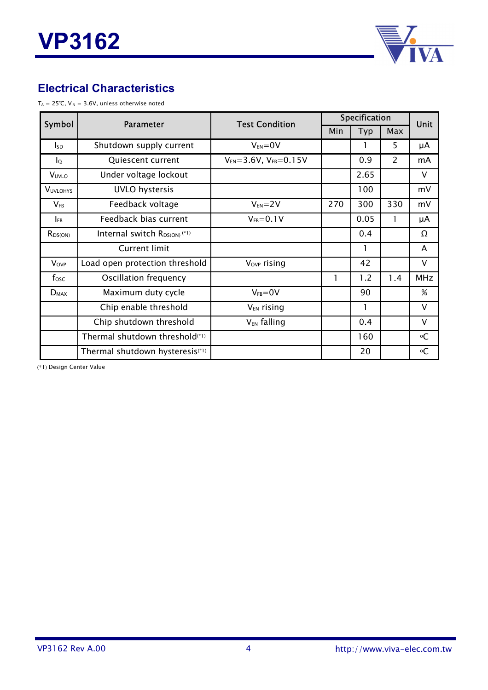

### **Electrical Characteristics**

 $T_A = 25$ °C,  $V_{IN} = 3.6V$ , unless otherwise noted

| Symbol           | <b>Parameter</b>                             | <b>Test Condition</b>              | Specification |      |     | <b>Unit</b> |
|------------------|----------------------------------------------|------------------------------------|---------------|------|-----|-------------|
|                  |                                              |                                    | Min           | Typ  | Max |             |
| <sub>sp</sub>    | Shutdown supply current                      | $V_{EN} = 0V$                      |               |      | 5   | μA          |
| $I_{\mathsf{Q}}$ | Quiescent current                            | $V_{EN} = 3.6V$ , $V_{FB} = 0.15V$ |               | 0.9  | 2   | mA          |
| VUVLO            | Under voltage lockout                        |                                    |               | 2.65 |     | V           |
| <b>VUVLOHYS</b>  | <b>UVLO</b> hystersis                        |                                    |               | 100  |     | mV          |
| $V_{FB}$         | Feedback voltage                             | $V_{EN} = 2V$                      | 270           | 300  | 330 | mV          |
| $I_{FB}$         | Feedback bias current                        | $V_{FB} = 0.1 V$                   |               | 0.05 | 1   | μA          |
| $R_{DS(ON)}$     | Internal switch $R_{DS(ON)}$ <sup>(*1)</sup> |                                    |               | 0.4  |     | Ω           |
|                  | <b>Current limit</b>                         |                                    |               |      |     | A           |
| <b>Vovp</b>      | Load open protection threshold               | V <sub>ovp</sub> rising            |               | 42   |     | V           |
| $f_{\rm osc}$    | Oscillation frequency                        |                                    | 1             | 1.2  | 1.4 | <b>MHz</b>  |
| $D_{MAX}$        | Maximum duty cycle                           | $V_{FB} = 0V$                      |               | 90   |     | %           |
|                  | Chip enable threshold                        | V <sub>EN</sub> rising             |               |      |     | V           |
|                  | Chip shutdown threshold                      | V <sub>EN</sub> falling            |               | 0.4  |     | $\vee$      |
|                  | Thermal shutdown threshold <sup>(*1)</sup>   |                                    |               | 160  |     | ۰C          |
|                  | Thermal shutdown hysteresis <sup>(*1)</sup>  |                                    |               | 20   |     | ۰C          |

(\*1) Design Center Value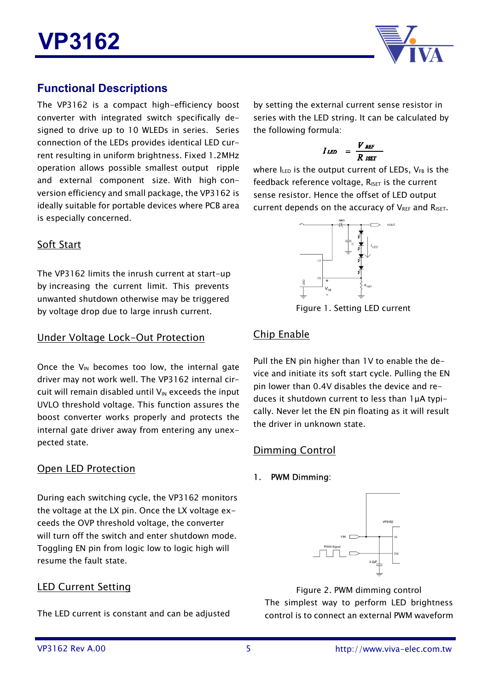

### **Functional Descriptions**

The VP3162 is a compact high-efficiency boost converter with integrated switch specifically designed to drive up to 10 WLEDs in series. Series connection of the LEDs provides identical LED current resulting in uniform brightness. Fixed 1.2MHz operation allows possible smallest output ripple and external component size. With high conversion efficiency and small package, the VP3162 is ideally suitable for portable devices where PCB area is especially concerned.

Soft Start

The VP3162 limits the inrush current at start-up by increasing the current limit. This prevents unwanted shutdown otherwise may be triggered by voltage drop due to large inrush current.

#### Under Voltage Lock-Out Protection

Once the  $V_{IN}$  becomes too low, the internal gate driver may not work well. The VP3162 internal circuit will remain disabled until  $V_{IN}$  exceeds the input UVLO threshold voltage. This function assures the boost converter works properly and protects the internal gate driver away from entering any unexpected state.

### Open LED Protection

During each switching cycle, the VP3162 monitors the voltage at the LX pin. Once the LX voltage exceeds the OVP threshold voltage, the converter will turn off the switch and enter shutdown mode. Toggling EN pin from logic low to logic high will resume the fault state.

### LED Current Setting

The LED current is constant and can be adjusted

by setting the external current sense resistor in series with the LED string. It can be calculated by the following formula:

$$
I_{LED} = \frac{V_{REF}}{R_{SET}}
$$

where  $I_{LED}$  is the output current of LEDs,  $V_{FB}$  is the feedback reference voltage,  $R_{\text{ISET}}$  is the current sense resistor. Hence the offset of LED output current depends on the accuracy of  $V_{REF}$  and  $R_{IST}$ .



Figure 1. Setting LED current

### Chip Enable

Pull the EN pin higher than 1V to enable the device and initiate its soft start cycle. Pulling the EN pin lower than 0.4V disables the device and reduces it shutdown current to less than 1µA typically. Never let the EN pin floating as it will result the driver in unknown state.

### Dimming Control

#### 1. PWM Dimming:



Figure 2. PWM dimming control The simplest way to perform LED brightness control is to connect an external PWM waveform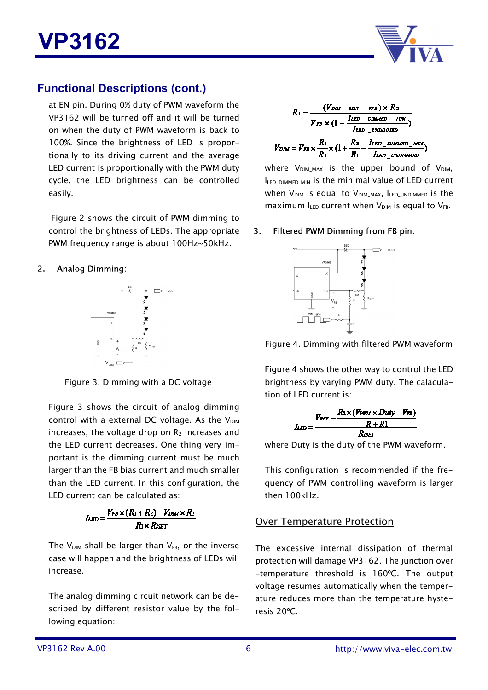



### **Functional Descriptions (cont.)**

at EN pin. During 0% duty of PWM waveform the VP3162 will be turned off and it will be turned on when the duty of PWM waveform is back to 100%. Since the brightness of LED is proportionally to its driving current and the average LED current is proportionally with the PWM duty cycle, the LED brightness can be controlled easily.

 Figure 2 shows the circuit of PWM dimming to control the brightness of LEDs. The appropriate PWM frequency range is about 100Hz~50kHz.

#### 2. Analog Dimming:



Figure 3. Dimming with a DC voltage

Figure 3 shows the circuit of analog dimming control with a external DC voltage. As the  $V_{\text{DIM}}$ increases, the voltage drop on  $R_2$  increases and the LED current decreases. One thing very important is the dimming current must be much larger than the FB bias current and much smaller than the LED current. In this configuration, the LED current can be calculated as:

$$
I_{LED} = \frac{V_{FB} \times (R_1 + R_2) - V_{DIM} \times R_2}{R_1 \times R_{SET}}
$$

The  $V_{DM}$  shall be larger than  $V_{FB}$ , or the inverse case will happen and the brightness of LEDs will increase.

The analog dimming circuit network can be described by different resistor value by the following equation:

$$
R_1 = \frac{(V_{DMI} - MLV - VFB) \times R_2}{V_{FB} \times (1 - \frac{ILED - DBMIED - MLV}{IED - UNDMMED})}
$$

$$
V_{DIM} = V_{FB} \times \frac{R_1}{R_2} \times (1 + \frac{R_2}{R_1} - \frac{ILED - DBMIED - MLV}{IED - DBMMED - MLV})
$$

where  $V_{DMMAX}$  is the upper bound of  $V_{DM}$ ,  $I_{LED$   $DIMMED$   $MIN$  is the minimal value of LED current when  $V_{DM}$  is equal to  $V_{DMM}$   $_{MAX}$ , ILED UNDIMMED is the maximum  $I_{LED}$  current when  $V_{DIM}$  is equal to  $V_{FB}$ .

#### 3. Filtered PWM Dimming from FB pin:



Figure 4. Dimming with filtered PWM waveform

Figure 4 shows the other way to control the LED brightness by varying PWM duty. The calaculation of LED current is:

$$
I_{LED} = \frac{V_{REF} - \frac{R_2 \times (V_{PWM} \times Duty - V_{FB})}{R + R1}}{R_{IVFT}}
$$

where Duty is the duty of the PWM waveform.

This configuration is recommended if the frequency of PWM controlling waveform is larger then 100kHz.

#### Over Temperature Protection

The excessive internal dissipation of thermal protection will damage VP3162. The junction over -temperature threshold is 160ºC. The output voltage resumes automatically when the temperature reduces more than the temperature hysteresis 20ºC.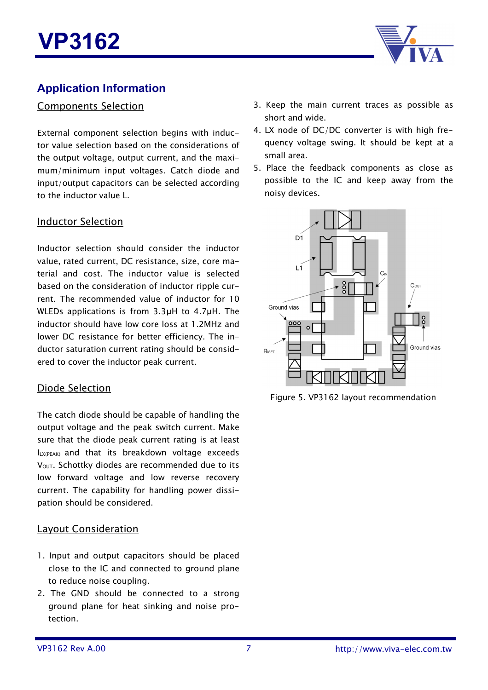

### **Application Information**

#### Components Selection

External component selection begins with inductor value selection based on the considerations of the output voltage, output current, and the maximum/minimum input voltages. Catch diode and input/output capacitors can be selected according to the inductor value L.

#### Inductor Selection

Inductor selection should consider the inductor value, rated current, DC resistance, size, core material and cost. The inductor value is selected based on the consideration of inductor ripple current. The recommended value of inductor for 10 WLEDs applications is from 3.3µH to 4.7µH. The inductor should have low core loss at 1.2MHz and lower DC resistance for better efficiency. The inductor saturation current rating should be considered to cover the inductor peak current.

#### Diode Selection

The catch diode should be capable of handling the output voltage and the peak switch current. Make sure that the diode peak current rating is at least ILX(PEAK) and that its breakdown voltage exceeds V<sub>OUT</sub>. Schottky diodes are recommended due to its low forward voltage and low reverse recovery current. The capability for handling power dissipation should be considered.

#### Layout Consideration

- 1. Input and output capacitors should be placed close to the IC and connected to ground plane to reduce noise coupling.
- 2. The GND should be connected to a strong ground plane for heat sinking and noise protection.
- 3. Keep the main current traces as possible as short and wide.
- 4. LX node of DC/DC converter is with high frequency voltage swing. It should be kept at a small area.
- 5. Place the feedback components as close as possible to the IC and keep away from the noisy devices.



Figure 5. VP3162 layout recommendation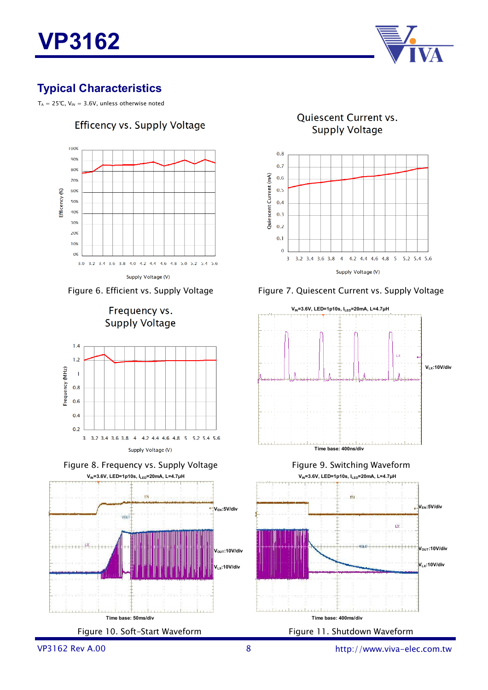

## **Typical Characteristics**

 $T_A = 25$ °C, V<sub>IN</sub> = 3.6V, unless otherwise noted











Quiescent Current vs. **Supply Voltage** 







VP3162 Rev A.00 8

http://www.viva-elec.com.tw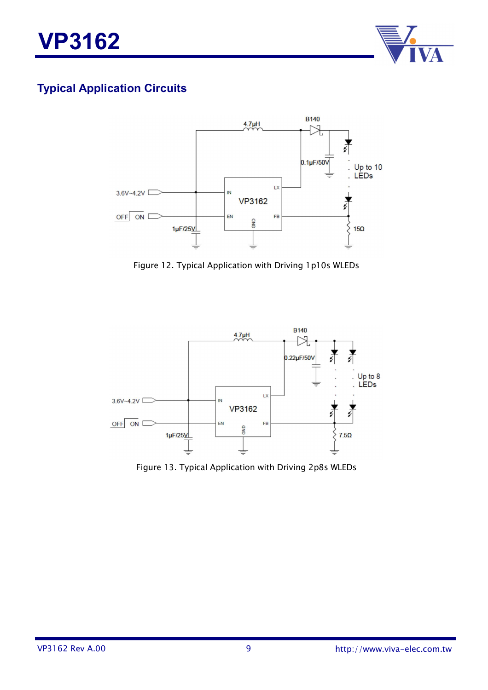

# **Typical Application Circuits**



Figure 12. Typical Application with Driving 1p10s WLEDs



Figure 13. Typical Application with Driving 2p8s WLEDs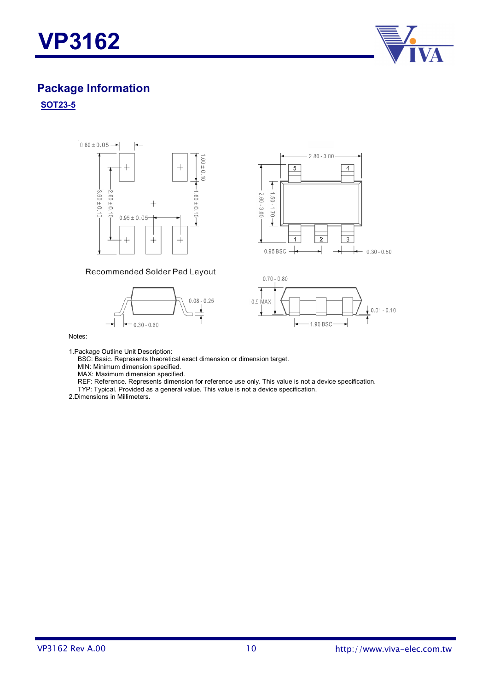



# **Package Information**

#### **SOT23-5**





#### Recommended Solder Pad Layout





#### Notes:

1.Package Outline Unit Description:

BSC: Basic. Represents theoretical exact dimension or dimension target.

MIN: Minimum dimension specified.

MAX: Maximum dimension specified.

REF: Reference. Represents dimension for reference use only. This value is not a device specification.

TYP: Typical. Provided as a general value. This value is not a device specification.

2.Dimensions in Millimeters.